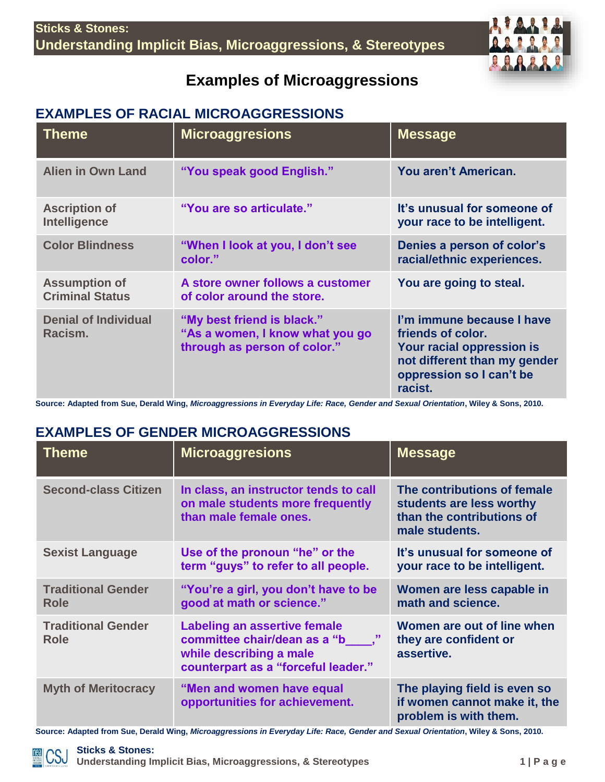## **Examples of Microaggressions**

## **EXAMPLES OF RACIAL MICROAGGRESSIONS**

| <b>Theme</b>                                   | <b>Microaggresions</b>                                                                        | <b>Message</b>                                                                                                                                     |
|------------------------------------------------|-----------------------------------------------------------------------------------------------|----------------------------------------------------------------------------------------------------------------------------------------------------|
| <b>Alien in Own Land</b>                       | "You speak good English."                                                                     | You aren't American.                                                                                                                               |
| <b>Ascription of</b><br><b>Intelligence</b>    | "You are so articulate."                                                                      | It's unusual for someone of<br>your race to be intelligent.                                                                                        |
| <b>Color Blindness</b>                         | "When I look at you, I don't see<br>color."                                                   | Denies a person of color's<br>racial/ethnic experiences.                                                                                           |
| <b>Assumption of</b><br><b>Criminal Status</b> | A store owner follows a customer<br>of color around the store.                                | You are going to steal.                                                                                                                            |
| <b>Denial of Individual</b><br>Racism.         | "My best friend is black."<br>"As a women, I know what you go<br>through as person of color." | I'm immune because I have<br>friends of color.<br>Your racial oppression is<br>not different than my gender<br>oppression so I can't be<br>racist. |

**Source: Adapted from Sue, Derald Wing,** *Microaggressions in Everyday Life: Race, Gender and Sexual Orientation***, Wiley & Sons, 2010.**

## **EXAMPLES OF GENDER MICROAGGRESSIONS**

| <b>Theme</b>                             | <b>Microaggresions</b>                                                                                                                 | <b>Message</b>                                                                                         |
|------------------------------------------|----------------------------------------------------------------------------------------------------------------------------------------|--------------------------------------------------------------------------------------------------------|
| <b>Second-class Citizen</b>              | In class, an instructor tends to call<br>on male students more frequently<br>than male female ones.                                    | The contributions of female<br>students are less worthy<br>than the contributions of<br>male students. |
| <b>Sexist Language</b>                   | Use of the pronoun "he" or the<br>term "guys" to refer to all people.                                                                  | It's unusual for someone of<br>your race to be intelligent.                                            |
| <b>Traditional Gender</b><br><b>Role</b> | "You're a girl, you don't have to be<br>good at math or science."                                                                      | Women are less capable in<br>math and science.                                                         |
| <b>Traditional Gender</b><br><b>Role</b> | <b>Labeling an assertive female</b><br>committee chair/dean as a "b"<br>while describing a male<br>counterpart as a "forceful leader." | Women are out of line when<br>they are confident or<br>assertive.                                      |
| <b>Myth of Meritocracy</b>               | "Men and women have equal<br>opportunities for achievement.                                                                            | The playing field is even so<br>if women cannot make it, the<br>problem is with them.                  |

**Source: Adapted from Sue, Derald Wing,** *Microaggressions in Everyday Life: Race, Gender and Sexual Orientation***, Wiley & Sons, 2010.**